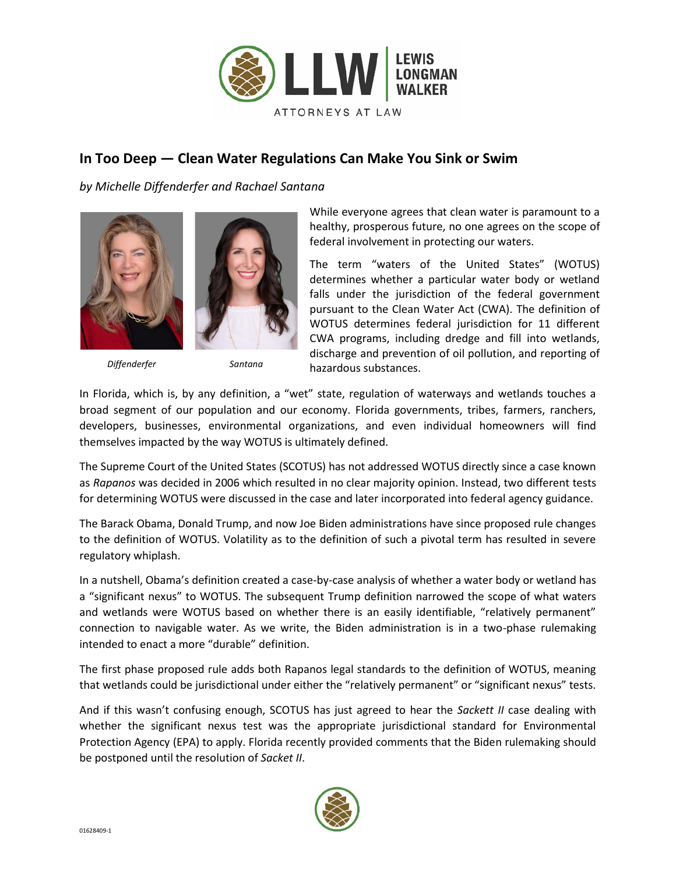

## **In Too Deep — Clean Water Regulations Can Make You Sink or Swim**

*by Michelle Diffenderfer and Rachael Santana* 





*Diffenderfer Santana*

While everyone agrees that clean water is paramount to a healthy, prosperous future, no one agrees on the scope of federal involvement in protecting our waters.

The term "waters of the United States" (WOTUS) determines whether a particular water body or wetland falls under the jurisdiction of the federal government pursuant to the Clean Water Act (CWA). The definition of WOTUS determines federal jurisdiction for 11 different CWA programs, including dredge and fill into wetlands, discharge and prevention of oil pollution, and reporting of hazardous substances.

In Florida, which is, by any definition, a "wet" state, regulation of waterways and wetlands touches a broad segment of our population and our economy. Florida governments, tribes, farmers, ranchers, developers, businesses, environmental organizations, and even individual homeowners will find themselves impacted by the way WOTUS is ultimately defined.

The Supreme Court of the United States (SCOTUS) has not addressed WOTUS directly since a case known as *Rapanos* was decided in 2006 which resulted in no clear majority opinion. Instead, two different tests for determining WOTUS were discussed in the case and later incorporated into federal agency guidance.

The Barack Obama, Donald Trump, and now Joe Biden administrations have since proposed rule changes to the definition of WOTUS. Volatility as to the definition of such a pivotal term has resulted in severe regulatory whiplash.

In a nutshell, Obama's definition created a case-by-case analysis of whether a water body or wetland has a "significant nexus" to WOTUS. The subsequent Trump definition narrowed the scope of what waters and wetlands were WOTUS based on whether there is an easily identifiable, "relatively permanent" connection to navigable water. As we write, the Biden administration is in a two-phase rulemaking intended to enact a more "durable" definition.

The first phase proposed rule adds both Rapanos legal standards to the definition of WOTUS, meaning that wetlands could be jurisdictional under either the "relatively permanent" or "significant nexus" tests.

And if this wasn't confusing enough, SCOTUS has just agreed to hear the *Sackett II* case dealing with whether the significant nexus test was the appropriate jurisdictional standard for Environmental Protection Agency (EPA) to apply. Florida recently provided comments that the Biden rulemaking should be postponed until the resolution of *Sacket II*.